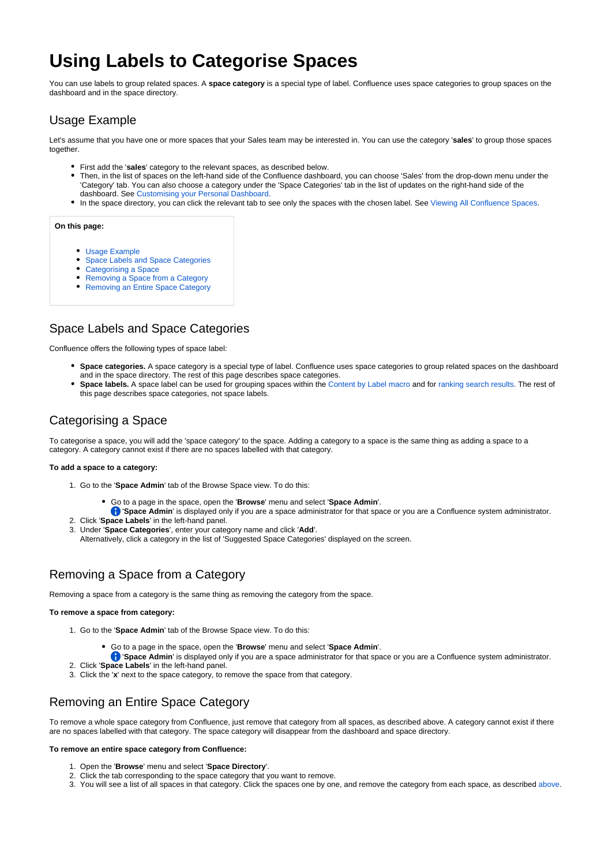# **Using Labels to Categorise Spaces**

You can use labels to group related spaces. A **space category** is a special type of label. Confluence uses space categories to group spaces on the dashboard and in the space directory.

# <span id="page-0-0"></span>Usage Example

Let's assume that you have one or more spaces that your Sales team may be interested in. You can use the category '**sales**' to group those spaces together.

- First add the '**sales**' category to the relevant spaces, as described below.
- Then, in the list of spaces on the left-hand side of the Confluence dashboard, you can choose 'Sales' from the drop-down menu under the 'Category' tab. You can also choose a category under the 'Space Categories' tab in the list of updates on the right-hand side of the dashboard. See [Customising your Personal Dashboard](https://wikis.nyu.edu/display/DOC/Customising+your+Personal+Dashboard).
- In the space directory, you can click the relevant tab to see only the spaces with the chosen label. See [Viewing All Confluence Spaces.](https://wikis.nyu.edu/display/DOC/Viewing+All+Confluence+Spaces)

#### **On this page:**

- [Usage Example](#page-0-0)
- [Space Labels and Space Categories](#page-0-1)
- [Categorising a Space](#page-0-2)
- [Removing a Space from a Category](#page-0-3)
- [Removing an Entire Space Category](#page-0-4)

# <span id="page-0-1"></span>Space Labels and Space Categories

Confluence offers the following types of space label:

- **Space categories.** A space category is a special type of label. Confluence uses space categories to group related spaces on the dashboard and in the space directory. The rest of this page describes space categories.
- **Space labels.** A space label can be used for grouping spaces within the [Content by Label macro](https://wikis.nyu.edu/display/DOC/Content+by+Label+Macro) and for [ranking search results.](https://wikis.nyu.edu/display/DOC/Ranking+of+Search+Results) The rest of this page describes space categories, not space labels.

### <span id="page-0-2"></span>Categorising a Space

To categorise a space, you will add the 'space category' to the space. Adding a category to a space is the same thing as adding a space to a category. A category cannot exist if there are no spaces labelled with that category.

#### **To add a space to a category:**

- 1. Go to the '**Space Admin**' tab of the Browse Space view. To do this:
	- Go to a page in the space, open the '**Browse**' menu and select '**Space Admin**'.
		- '**Space Admin**' is displayed only if you are a space administrator for that space or you are a Confluence system administrator.
- 2. Click '**Space Labels**' in the left-hand panel.
- 3. Under '**Space Categories**', enter your category name and click '**Add**'.
	- Alternatively, click a category in the list of 'Suggested Space Categories' displayed on the screen.

### <span id="page-0-5"></span><span id="page-0-3"></span>Removing a Space from a Category

Removing a space from a category is the same thing as removing the category from the space.

#### **To remove a space from category:**

- 1. Go to the '**Space Admin**' tab of the Browse Space view. To do this:
	- Go to a page in the space, open the '**Browse**' menu and select '**Space Admin**'.
		- **f** 'Space Admin' is displayed only if you are a space administrator for that space or you are a Confluence system administrator.
- 2. Click '**Space Labels**' in the left-hand panel.
- 3. Click the '**x**' next to the space category, to remove the space from that category.

## <span id="page-0-4"></span>Removing an Entire Space Category

To remove a whole space category from Confluence, just remove that category from all spaces, as described above. A category cannot exist if there are no spaces labelled with that category. The space category will disappear from the dashboard and space directory.

#### **To remove an entire space category from Confluence:**

- 1. Open the '**Browse**' menu and select '**Space Directory**'.
- 2. Click the tab corresponding to the space category that you want to remove.
- 3. You will see a list of all spaces in that category. Click the spaces one by one, and remove the category from each space, as described [above](#page-0-5).